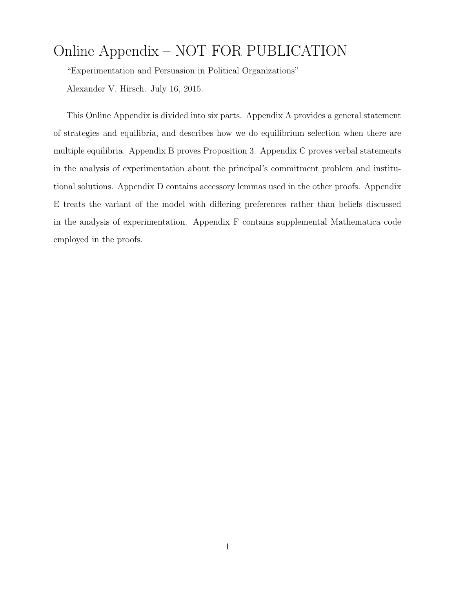# Online Appendix – NOT FOR PUBLICATION

"Experimentation and Persuasion in Political Organizations" Alexander V. Hirsch. July 16, 2015.

This Online Appendix is divided into six parts. Appendix A provides a general statement of strategies and equilibria, and describes how we do equilibrium selection when there are multiple equilibria. Appendix B proves Proposition 3. Appendix C proves verbal statements in the analysis of experimentation about the principal's commitment problem and institutional solutions. Appendix D contains accessory lemmas used in the other proofs. Appendix E treats the variant of the model with differing preferences rather than beliefs discussed in the analysis of experimentation. Appendix F contains supplemental Mathematica code employed in the proofs.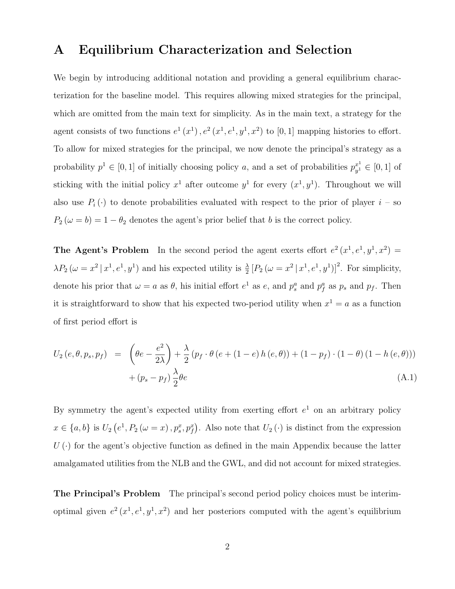#### A Equilibrium Characterization and Selection

We begin by introducing additional notation and providing a general equilibrium characterization for the baseline model. This requires allowing mixed strategies for the principal, which are omitted from the main text for simplicity. As in the main text, a strategy for the agent consists of two functions  $e^1(x^1), e^2(x^1, e^1, y^1, x^2)$  to [0, 1] mapping histories to effort. To allow for mixed strategies for the principal, we now denote the principal's strategy as a probability  $p^1 \in [0, 1]$  of initially choosing policy *a*, and a set of probabilities  $p^{x^1}_{y^1} \in [0, 1]$  of sticking with the initial policy  $x^1$  after outcome  $y^1$  for every  $(x^1, y^1)$ . Throughout we will also use  $P_i(\cdot)$  to denote probabilities evaluated with respect to the prior of player  $i$  – so  $P_2(\omega = b) = 1 - \theta_2$  denotes the agent's prior belief that *b* is the correct policy.

**The Agent's Problem** In the second period the agent exerts effort  $e^2(x^1, e^1, y^1, x^2)$  $\lambda P_2 \left( \omega = x^2 | x^1, e^1, y^1 \right)$  and his expected utility is  $\frac{\lambda}{2} \left[ P_2 \left( \omega = x^2 | x^1, e^1, y^1 \right) \right]^2$ . For simplicity, denote his prior that  $\omega = a$  as  $\theta$ , his initial effort  $e^1$  as  $e$ , and  $p_s^a$  and  $p_f^a$  as  $p_s$  and  $p_f$ . Then it is straightforward to show that his expected two-period utility when  $x^1 = a$  as a function of first period effort is

$$
U_2(e, \theta, p_s, p_f) = \left(\theta e - \frac{e^2}{2\lambda}\right) + \frac{\lambda}{2} \left(p_f \cdot \theta \left(e + (1 - e) h(e, \theta)\right) + (1 - p_f) \cdot (1 - \theta) (1 - h(e, \theta))\right) + (p_s - p_f) \frac{\lambda}{2} \theta e
$$
\n(A.1)

By symmetry the agent's expected utility from exerting effort  $e<sup>1</sup>$  on an arbitrary policy  $x \in \{a, b\}$  is  $U_2(e^1, P_2(\omega = x), p_s^x, p_f^x)$ . Also note that  $U_2(\cdot)$  is distinct from the expression  $U(\cdot)$  for the agent's objective function as defined in the main Appendix because the latter amalgamated utilities from the NLB and the GWL, and did not account for mixed strategies.

The Principal's Problem The principal's second period policy choices must be interimoptimal given  $e^2(x^1, e^1, y^1, x^2)$  and her posteriors computed with the agent's equilibrium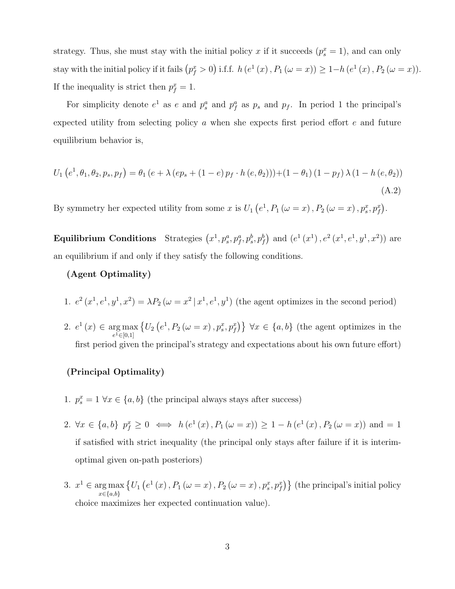strategy. Thus, she must stay with the initial policy *x* if it succeeds  $(p_s^x = 1)$ , and can only stay with the initial policy if it fails  $(p_f^x > 0)$  i.f.f. *h*  $(e^1(x), P_1(\omega = x)) \ge 1 - h(e^1(x), P_2(\omega = x)).$ If the inequality is strict then  $p_f^x = 1$ .

For simplicity denote  $e^1$  as  $e$  and  $p^a_s$  and  $p^a_f$  as  $p_s$  and  $p_f$ . In period 1 the principal's expected utility from selecting policy  $a$  when she expects first period effort  $e$  and future equilibrium behavior is,

$$
U_1(e^1, \theta_1, \theta_2, p_s, p_f) = \theta_1(e + \lambda (ep_s + (1 - e) p_f \cdot h(e, \theta_2))) + (1 - \theta_1) (1 - p_f) \lambda (1 - h(e, \theta_2))
$$
\n(A.2)

By symmetry her expected utility from some *x* is  $U_1(e^1, P_1(\omega = x), P_2(\omega = x), p_s^x, p_f^x)$ .

Equilibrium Conditions Strategies  $(x^1, p_s^a, p_f^a, p_s^b, p_f^b)$  and  $(e^1(x^1), e^2(x^1, e^1, y^1, x^2))$  are an equilibrium if and only if they satisfy the following conditions.

#### (Agent Optimality)

- 1.  $e^2(x^1, e^1, y^1, x^2) = \lambda P_2(\omega = x^2 | x^1, e^1, y^1)$  (the agent optimizes in the second period)
- 2.  $e^1(x) \in \arg \max_{1 \leq |x| \leq 1}$  $e^{1} \in [0,1]$  $\{U_2(e^1, P_2(\omega = x), p_s^x, p_f^x)\}\ \forall x \in \{a, b\}$  (the agent optimizes in the first period given the principal's strategy and expectations about his own future effort)

#### (Principal Optimality)

- 1.  $p_s^x = 1 \ \forall x \in \{a, b\}$  (the principal always stays after success)
- 2.  $\forall x \in \{a, b\}$   $p_f^x \geq 0 \iff h(e^1(x), P_1(\omega = x)) \geq 1 h(e^1(x), P_2(\omega = x))$  and  $= 1$ if satisfied with strict inequality (the principal only stays after failure if it is interimoptimal given on-path posteriors)
- 3.  $x^1 \in \arg\max$ *x*2*{a,b}*  $\{U_1\left(e^{1}(x), P_1(\omega = x), P_2(\omega = x), p_s^x, p_f^x\}\}\$  (the principal's initial policy choice maximizes her expected continuation value).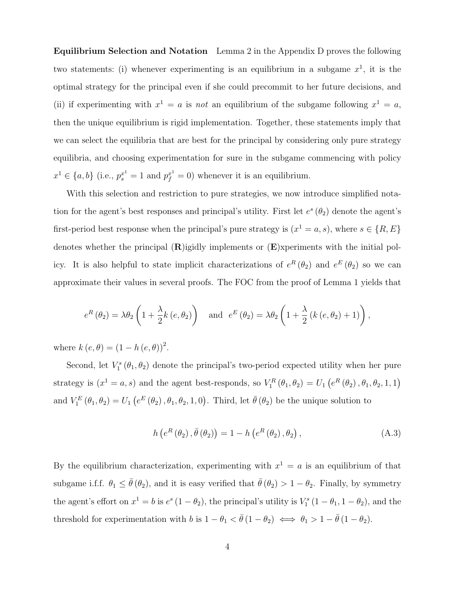Equilibrium Selection and Notation Lemma 2 in the Appendix D proves the following two statements: (i) whenever experimenting is an equilibrium in a subgame  $x<sup>1</sup>$ , it is the optimal strategy for the principal even if she could precommit to her future decisions, and (ii) if experimenting with  $x^1 = a$  is *not* an equilibrium of the subgame following  $x^1 = a$ , then the unique equilibrium is rigid implementation. Together, these statements imply that we can select the equilibria that are best for the principal by considering only pure strategy equilibria, and choosing experimentation for sure in the subgame commencing with policy  $x^1 \in \{a, b\}$  (i.e.,  $p_s^{x^1} = 1$  and  $p_f^{x^1} = 0$ ) whenever it is an equilibrium.

With this selection and restriction to pure strategies, we now introduce simplified notation for the agent's best responses and principal's utility. First let  $e^s$  ( $\theta_2$ ) denote the agent's first-period best response when the principal's pure strategy is  $(x^1 = a, s)$ , where  $s \in \{R, E\}$ denotes whether the principal  $(R)$ igidly implements or  $(E)$ xperiments with the initial policy. It is also helpful to state implicit characterizations of  $e^R(\theta_2)$  and  $e^E(\theta_2)$  so we can approximate their values in several proofs. The FOC from the proof of Lemma 1 yields that

$$
e^{R}(\theta_2) = \lambda \theta_2 \left(1 + \frac{\lambda}{2} k(e, \theta_2)\right)
$$
 and  $e^{E}(\theta_2) = \lambda \theta_2 \left(1 + \frac{\lambda}{2} (k(e, \theta_2) + 1)\right)$ ,

where  $k(e, \theta) = (1 - h(e, \theta))^2$ .

Second, let  $V_1^s(\theta_1, \theta_2)$  denote the principal's two-period expected utility when her pure strategy is  $(x^1 = a, s)$  and the agent best-responds, so  $V_1^R(\theta_1, \theta_2) = U_1(e^R(\theta_2), \theta_1, \theta_2, 1, 1)$ and  $V_1^E(\theta_1, \theta_2) = U_1(e^E(\theta_2), \theta_1, \theta_2, 1, 0)$ . Third, let  $\bar{\theta}(\theta_2)$  be the unique solution to

$$
h\left(e^{R}\left(\theta_{2}\right),\bar{\theta}\left(\theta_{2}\right)\right)=1-h\left(e^{R}\left(\theta_{2}\right),\theta_{2}\right),\tag{A.3}
$$

By the equilibrium characterization, experimenting with  $x^1 = a$  is an equilibrium of that subgame i.f.f.  $\theta_1 \leq \bar{\theta}(\theta_2)$ , and it is easy verified that  $\bar{\theta}(\theta_2) > 1 - \theta_2$ . Finally, by symmetry the agent's effort on  $x^1 = b$  is  $e^s (1 - \theta_2)$ , the principal's utility is  $V_1^s (1 - \theta_1, 1 - \theta_2)$ , and the threshold for experimentation with *b* is  $1 - \theta_1 < \bar{\theta} (1 - \theta_2) \iff \theta_1 > 1 - \bar{\theta} (1 - \theta_2)$ .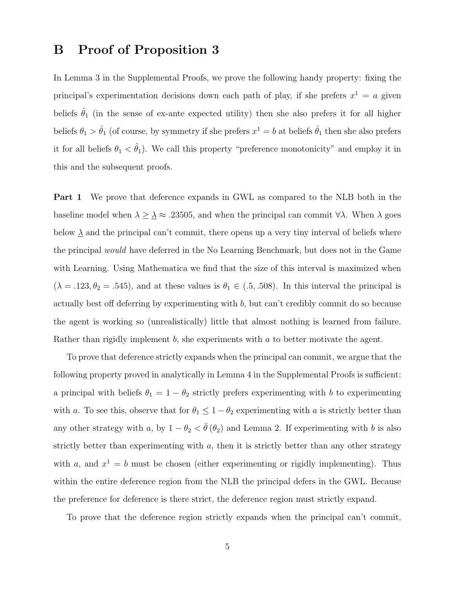### B Proof of Proposition 3

In Lemma 3 in the Supplemental Proofs, we prove the following handy property: fixing the principal's experimentation decisions down each path of play, if she prefers  $x^1 = a$  given beliefs  $\hat{\theta}_1$  (in the sense of ex-ante expected utility) then she also prefers it for all higher beliefs  $\theta_1 > \hat{\theta}_1$  (of course, by symmetry if she prefers  $x^1 = b$  at beliefs  $\hat{\theta}_1$  then she also prefers it for all beliefs  $\theta_1 < \hat{\theta}_1$ ). We call this property "preference monotonicity" and employ it in this and the subsequent proofs.

Part 1 We prove that deference expands in GWL as compared to the NLB both in the baseline model when  $\lambda \geq \lambda \approx .23505$ , and when the principal can commit  $\forall \lambda$ . When  $\lambda$  goes below  $\underline{\lambda}$  and the principal can't commit, there opens up a very tiny interval of beliefs where the principal *would* have deferred in the No Learning Benchmark, but does not in the Game with Learning. Using Mathematica we find that the size of this interval is maximized when  $(\lambda = .123, \theta_2 = .545)$ , and at these values is  $\theta_1 \in (.5, .508)$ . In this interval the principal is actually best off deferring by experimenting with *b*, but can't credibly commit do so because the agent is working so (unrealistically) little that almost nothing is learned from failure. Rather than rigidly implement *b*, she experiments with *a* to better motivate the agent.

To prove that deference strictly expands when the principal can commit, we argue that the following property proved in analytically in Lemma 4 in the Supplemental Proofs is sufficient: a principal with beliefs  $\theta_1 = 1 - \theta_2$  strictly prefers experimenting with *b* to experimenting with *a*. To see this, observe that for  $\theta_1 \leq 1 - \theta_2$  experimenting with *a* is strictly better than any other strategy with *a*, by  $1 - \theta_2 < \overline{\theta}(\theta_2)$  and Lemma 2. If experimenting with *b* is also strictly better than experimenting with *a*, then it is strictly better than any other strategy with *a*, and  $x^1 = b$  must be chosen (either experimenting or rigidly implementing). Thus within the entire deference region from the NLB the principal defers in the GWL. Because the preference for deference is there strict, the deference region must strictly expand.

To prove that the deference region strictly expands when the principal can't commit,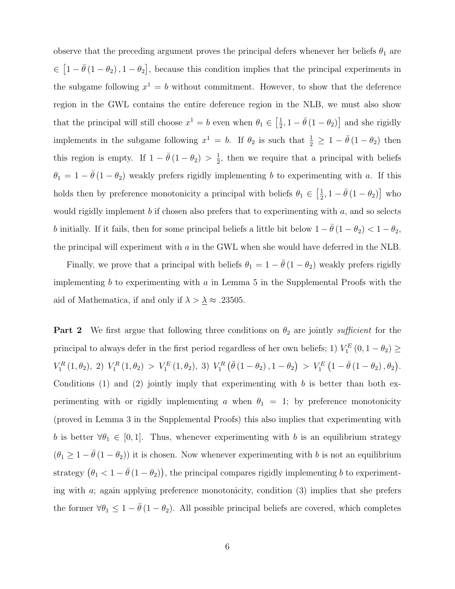observe that the preceding argument proves the principal defers whenever her beliefs  $\theta_1$  are  $\in [1 - \bar{\theta}(1 - \theta_2), 1 - \theta_2],$  because this condition implies that the principal experiments in the subgame following  $x^1 = b$  without commitment. However, to show that the deference region in the GWL contains the entire deference region in the NLB, we must also show that the principal will still choose  $x^1 = b$  even when  $\theta_1 \in \left[\frac{1}{2}, 1 - \bar{\theta}(1 - \theta_2)\right]$  and she rigidly implements in the subgame following  $x^1 = b$ . If  $\theta_2$  is such that  $\frac{1}{2} \geq 1 - \bar{\theta}(1 - \theta_2)$  then this region is empty. If  $1 - \bar{\theta}(1 - \theta_2) > \frac{1}{2}$ , then we require that a principal with beliefs  $\theta_1 = 1 - \bar{\theta} (1 - \theta_2)$  weakly prefers rigidly implementing *b* to experimenting with *a*. If this holds then by preference monotonicity a principal with beliefs  $\theta_1 \in \left[\frac{1}{2}, 1 - \bar{\theta}(1 - \theta_2)\right]$  who would rigidly implement *b* if chosen also prefers that to experimenting with *a*, and so selects *b* initially. If it fails, then for some principal beliefs a little bit below  $1 - \bar{\theta}(1 - \theta_2) < 1 - \theta_2$ , the principal will experiment with *a* in the GWL when she would have deferred in the NLB.

Finally, we prove that a principal with beliefs  $\theta_1 = 1 - \bar{\theta} (1 - \theta_2)$  weakly prefers rigidly implementing *b* to experimenting with *a* in Lemma 5 in the Supplemental Proofs with the aid of Mathematica, if and only if  $\lambda > \underline{\lambda} \approx .23505$ .

**Part 2** We first argue that following three conditions on  $\theta_2$  are jointly *sufficient* for the principal to always defer in the first period regardless of her own beliefs; 1)  $V_1^E(0, 1 - \theta_2) \ge$  $V_1^R(1, \theta_2), 2) V_1^R(1, \theta_2) > V_1^E(1, \theta_2), 3) V_1^R(\bar{\theta}(1-\theta_2), 1-\theta_2) > V_1^E(1-\bar{\theta}(1-\theta_2), \theta_2).$ Conditions (1) and (2) jointly imply that experimenting with *b* is better than both experimenting with or rigidly implementing *a* when  $\theta_1 = 1$ ; by preference monotonicity (proved in Lemma 3 in the Supplemental Proofs) this also implies that experimenting with *b* is better  $\forall \theta_1 \in [0, 1]$ . Thus, whenever experimenting with *b* is an equilibrium strategy  $(\theta_1 \geq 1 - \bar{\theta}(1 - \theta_2))$  it is chosen. Now whenever experimenting with *b* is not an equilibrium strategy  $(\theta_1 < 1 - \bar{\theta} (1 - \theta_2))$ , the principal compares rigidly implementing *b* to experimenting with *a*; again applying preference monotonicity, condition (3) implies that she prefers the former  $\forall \theta_1 \leq 1 - \bar{\theta} (1 - \theta_2)$ . All possible principal beliefs are covered, which completes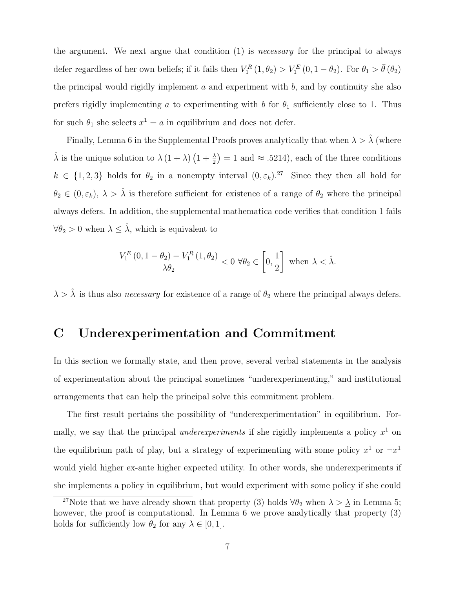the argument. We next argue that condition (1) is *necessary* for the principal to always defer regardless of her own beliefs; if it fails then  $V_1^R(1, \theta_2) > V_1^E(0, 1 - \theta_2)$ . For  $\theta_1 > \bar{\theta}(\theta_2)$ the principal would rigidly implement *a* and experiment with *b*, and by continuity she also prefers rigidly implementing *a* to experimenting with *b* for  $\theta_1$  sufficiently close to 1. Thus for such  $\theta_1$  she selects  $x^1 = a$  in equilibrium and does not defer.

Finally, Lemma 6 in the Supplemental Proofs proves analytically that when  $\lambda > \hat{\lambda}$  (where  $\hat{\lambda}$  is the unique solution to  $\lambda (1 + \lambda) (1 + \frac{\lambda}{2}) = 1$  and  $\approx .5214$ , each of the three conditions  $k \in \{1, 2, 3\}$  holds for  $\theta_2$  in a nonempty interval  $(0, \varepsilon_k)$ .<sup>27</sup> Since they then all hold for  $\theta_2 \in (0, \varepsilon_k)$ ,  $\lambda > \hat{\lambda}$  is therefore sufficient for existence of a range of  $\theta_2$  where the principal always defers. In addition, the supplemental mathematica code verifies that condition 1 fails  $\forall \theta_2 > 0$  when  $\lambda \leq \hat{\lambda}$ , which is equivalent to

$$
\frac{V_{1}^{E}\left(0,1-\theta_{2}\right)-V_{1}^{R}\left(1,\theta_{2}\right)}{\lambda\theta_{2}}<0\ \forall\theta_{2}\in\left[0,\frac{1}{2}\right]\ \text{when}\ \lambda<\hat{\lambda}.
$$

 $\lambda > \hat{\lambda}$  is thus also *necessary* for existence of a range of  $\theta_2$  where the principal always defers.

### C Underexperimentation and Commitment

In this section we formally state, and then prove, several verbal statements in the analysis of experimentation about the principal sometimes "underexperimenting," and institutional arrangements that can help the principal solve this commitment problem.

The first result pertains the possibility of "underexperimentation" in equilibrium. Formally, we say that the principal *underexperiments* if she rigidly implements a policy  $x^1$  on the equilibrium path of play, but a strategy of experimenting with some policy  $x^1$  or  $\neg x^1$ would yield higher ex-ante higher expected utility. In other words, she underexperiments if she implements a policy in equilibrium, but would experiment with some policy if she could

<sup>&</sup>lt;sup>27</sup>Note that we have already shown that property (3) holds  $\forall \theta_2$  when  $\lambda > \underline{\lambda}$  in Lemma 5; however, the proof is computational. In Lemma 6 we prove analytically that property  $(3)$ holds for sufficiently low  $\theta_2$  for any  $\lambda \in [0, 1]$ .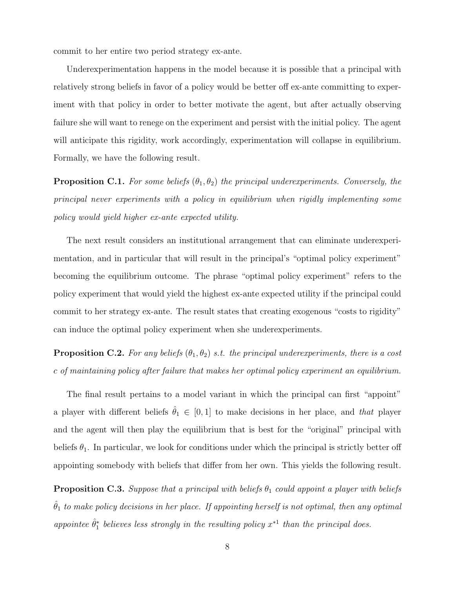commit to her entire two period strategy ex-ante.

Underexperimentation happens in the model because it is possible that a principal with relatively strong beliefs in favor of a policy would be better off ex-ante committing to experiment with that policy in order to better motivate the agent, but after actually observing failure she will want to renege on the experiment and persist with the initial policy. The agent will anticipate this rigidity, work accordingly, experimentation will collapse in equilibrium. Formally, we have the following result.

**Proposition C.1.** For some beliefs  $(\theta_1, \theta_2)$  the principal underexperiments. Conversely, the *principal never experiments with a policy in equilibrium when rigidly implementing some policy would yield higher ex-ante expected utility.*

The next result considers an institutional arrangement that can eliminate underexperimentation, and in particular that will result in the principal's "optimal policy experiment" becoming the equilibrium outcome. The phrase "optimal policy experiment" refers to the policy experiment that would yield the highest ex-ante expected utility if the principal could commit to her strategy ex-ante. The result states that creating exogenous "costs to rigidity" can induce the optimal policy experiment when she underexperiments.

**Proposition C.2.** For any beliefs  $(\theta_1, \theta_2)$  *s.t. the principal underexperiments, there is a cost c of maintaining policy after failure that makes her optimal policy experiment an equilibrium.*

The final result pertains to a model variant in which the principal can first "appoint" a player with different beliefs  $\hat{\theta}_1 \in [0, 1]$  to make decisions in her place, and *that* player and the agent will then play the equilibrium that is best for the "original" principal with beliefs  $\theta_1$ . In particular, we look for conditions under which the principal is strictly better off appointing somebody with beliefs that differ from her own. This yields the following result.

**Proposition C.3.** *Suppose that a principal with beliefs*  $\theta_1$  *could appoint a player with beliefs*  $\hat{\theta}_1$  to make policy decisions in her place. If appointing herself is not optimal, then any optimal appointee  $\hat{\theta}_1^*$  believes less strongly in the resulting policy  $x^{*1}$  than the principal does.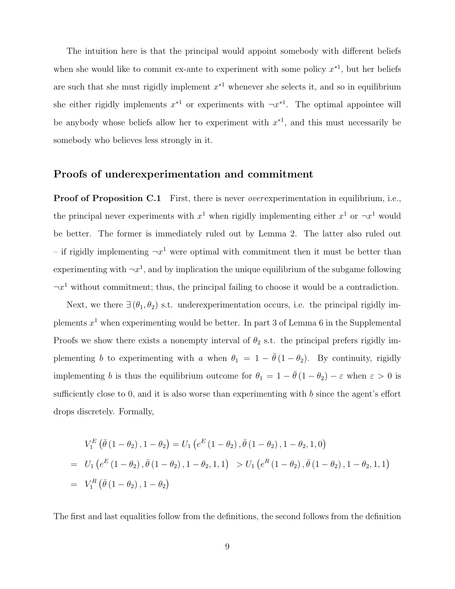The intuition here is that the principal would appoint somebody with different beliefs when she would like to commit ex-ante to experiment with some policy  $x^*$ <sup>1</sup>, but her beliefs are such that she must rigidly implement  $x^*$ <sup>1</sup> whenever she selects it, and so in equilibrium she either rigidly implements  $x^*$  or experiments with  $\neg x^*$ <sup>1</sup>. The optimal appointee will be anybody whose beliefs allow her to experiment with  $x^*$ <sup>1</sup>, and this must necessarily be somebody who believes less strongly in it.

#### Proofs of underexperimentation and commitment

Proof of Proposition C.1 First, there is never *over*experimentation in equilibrium, i.e., the principal never experiments with  $x^1$  when rigidly implementing either  $x^1$  or  $\neg x^1$  would be better. The former is immediately ruled out by Lemma 2. The latter also ruled out – if rigidly implementing  $\neg x^1$  were optimal with commitment then it must be better than experimenting with  $\neg x^1$ , and by implication the unique equilibrium of the subgame following  $\neg x^1$  without commitment; thus, the principal failing to choose it would be a contradiction.

Next, we there  $\exists (\theta_1, \theta_2)$  s.t. underexperimentation occurs, i.e. the principal rigidly implements  $x^1$  when experimenting would be better. In part 3 of Lemma 6 in the Supplemental Proofs we show there exists a nonempty interval of  $\theta_2$  s.t. the principal prefers rigidly implementing *b* to experimenting with *a* when  $\theta_1 = 1 - \bar{\theta}(1 - \theta_2)$ . By continuity, rigidly implementing *b* is thus the equilibrium outcome for  $\theta_1 = 1 - \bar{\theta}(1 - \theta_2) - \varepsilon$  when  $\varepsilon > 0$  is sufficiently close to 0, and it is also worse than experimenting with  $b$  since the agent's effort drops discretely. Formally,

$$
V_1^E \left( \bar{\theta} (1 - \theta_2), 1 - \theta_2 \right) = U_1 \left( e^E (1 - \theta_2), \bar{\theta} (1 - \theta_2), 1 - \theta_2, 1, 0 \right)
$$
  
=  $U_1 \left( e^E (1 - \theta_2), \bar{\theta} (1 - \theta_2), 1 - \theta_2, 1, 1 \right) > U_1 \left( e^R (1 - \theta_2), \bar{\theta} (1 - \theta_2), 1 - \theta_2, 1, 1 \right)$   
=  $V_1^R \left( \bar{\theta} (1 - \theta_2), 1 - \theta_2 \right)$ 

The first and last equalities follow from the definitions, the second follows from the definition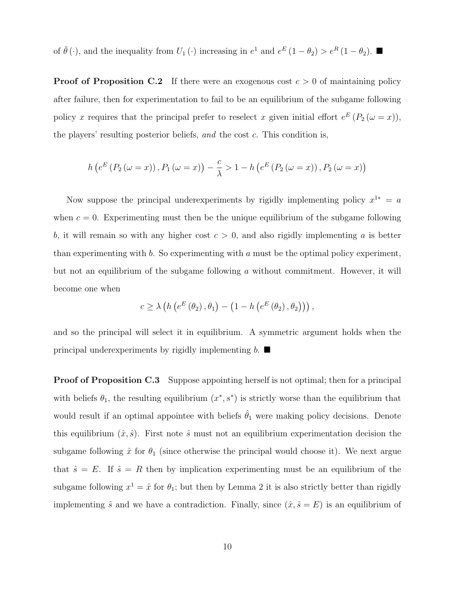of  $\bar{\theta}(\cdot)$ , and the inequality from  $U_1(\cdot)$  increasing in  $e^1$  and  $e^E(1-\theta_2) > e^R(1-\theta_2)$ .

**Proof of Proposition C.2** If there were an exogenous cost  $c > 0$  of maintaining policy after failure, then for experimentation to fail to be an equilibrium of the subgame following policy *x* requires that the principal prefer to reselect *x* given initial effort  $e^{E}(P_2(\omega = x))$ , the players' resulting posterior beliefs, *and* the cost *c*. This condition is,

$$
h\left(e^{E}\left(P_{2}\left(\omega=x\right)\right), P_{1}\left(\omega=x\right)\right) - \frac{c}{\lambda} > 1 - h\left(e^{E}\left(P_{2}\left(\omega=x\right)\right), P_{2}\left(\omega=x\right)\right)
$$

Now suppose the principal underexperiments by rigidly implementing policy  $x^{1*} = a$ when  $c = 0$ . Experimenting must then be the unique equilibrium of the subgame following *b*, it will remain so with any higher cost  $c > 0$ , and also rigidly implementing *a* is better than experimenting with *b*. So experimenting with *a* must be the optimal policy experiment, but not an equilibrium of the subgame following *a* without commitment. However, it will become one when

$$
c \geq \lambda \left( h \left( e^{E} \left( \theta_{2} \right), \theta_{1} \right) - \left( 1 - h \left( e^{E} \left( \theta_{2} \right), \theta_{2} \right) \right) \right),
$$

and so the principal will select it in equilibrium. A symmetric argument holds when the principal underexperiments by rigidly implementing  $b$ .

**Proof of Proposition C.3** Suppose appointing herself is not optimal; then for a principal with beliefs  $\theta_1$ , the resulting equilibrium  $(x^*, s^*)$  is strictly worse than the equilibrium that would result if an optimal appointee with beliefs  $\hat{\theta}_1$  were making policy decisions. Denote this equilibrium  $(\hat{x}, \hat{s})$ . First note  $\hat{s}$  must not an equilibrium experimentation decision the subgame following  $\hat{x}$  for  $\theta_1$  (since otherwise the principal would choose it). We next argue that  $\hat{s} = E$ . If  $\hat{s} = R$  then by implication experimenting must be an equilibrium of the subgame following  $x^1 = \hat{x}$  for  $\theta_1$ ; but then by Lemma 2 it is also strictly better than rigidly implementing  $\hat{s}$  and we have a contradiction. Finally, since  $(\hat{x}, \hat{s} = E)$  is an equilibrium of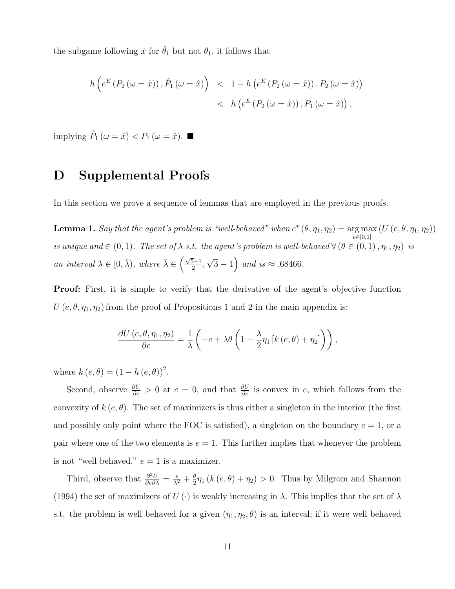the subgame following  $\hat{x}$  for  $\hat{\theta}_1$  but not  $\theta_1$ , it follows that

$$
h\left(e^{E}\left(P_{2}\left(\omega=\hat{x}\right)\right),\hat{P}_{1}\left(\omega=\hat{x}\right)\right) < 1 - h\left(e^{E}\left(P_{2}\left(\omega=\hat{x}\right)\right),P_{2}\left(\omega=\hat{x}\right)\right) \\
&< h\left(e^{E}\left(P_{2}\left(\omega=\hat{x}\right)\right),P_{1}\left(\omega=\hat{x}\right)\right),
$$

implying  $\hat{P}_1(\omega = \hat{x}) < P_1(\omega = \hat{x})$ .

### D Supplemental Proofs

In this section we prove a sequence of lemmas that are employed in the previous proofs.

 ${\bf Lemma~1.}$  *Say that the agent's problem is "well-behaved" when*  $e^*\left(\theta,\eta_1,\eta_2\right)=\arg\max$  $e \in [0,1]$  $(U(e, \theta, \eta_1, \eta_2))$ *is unique and*  $\in (0,1)$ *. The set of*  $\lambda$  *s.t. the agent's problem is well-behaved*  $\forall (\theta \in (0,1), \eta_1, \eta_2)$  *is an interval*  $\lambda \in [0, \bar{\lambda})$ *, where*  $\bar{\lambda} \in \left(\frac{\sqrt{5}-1}{2}, \sqrt{3}-1\right)$  *and is*  $\approx$  .68466*.* 

Proof: First, it is simple to verify that the derivative of the agent's objective function  $U(e, \theta, \eta_1, \eta_2)$  from the proof of Propositions 1 and 2 in the main appendix is:

$$
\frac{\partial U\left(e, \theta, \eta_1, \eta_2\right)}{\partial e} = \frac{1}{\lambda} \left( -e + \lambda \theta \left(1 + \frac{\lambda}{2} \eta_1 \left[k\left(e, \theta\right) + \eta_2\right] \right) \right),\,
$$

where  $k(e, \theta) = (1 - h(e, \theta))^2$ .

Second, observe  $\frac{\partial U}{\partial e} > 0$  at  $e = 0$ , and that  $\frac{\partial U}{\partial e}$  is convex in *e*, which follows from the convexity of  $k(e, \theta)$ . The set of maximizers is thus either a singleton in the interior (the first and possibly only point where the FOC is satisfied), a singleton on the boundary  $e = 1$ , or a pair where one of the two elements is  $e = 1$ . This further implies that whenever the problem is not "well behaved,"  $e = 1$  is a maximizer.

Third, observe that  $\frac{\partial^2 U}{\partial e \partial \lambda} = \frac{e}{\lambda^2} + \frac{\theta}{2} \eta_1 (k (e, \theta) + \eta_2) > 0$ . Thus by Milgrom and Shannon (1994) the set of maximizers of  $U(\cdot)$  is weakly increasing in  $\lambda$ . This implies that the set of  $\lambda$ s.t. the problem is well behaved for a given  $(\eta_1, \eta_2, \theta)$  is an interval; if it were well behaved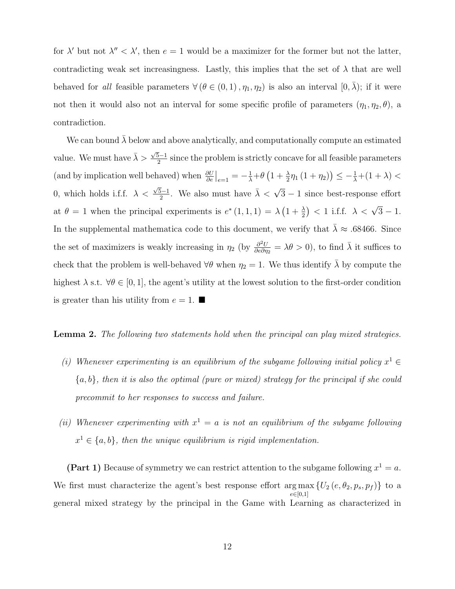for  $\lambda'$  but not  $\lambda'' < \lambda'$ , then  $e = 1$  would be a maximizer for the former but not the latter, contradicting weak set increasingness. Lastly, this implies that the set of  $\lambda$  that are well behaved for *all* feasible parameters  $\forall (\theta \in (0,1), \eta_1, \eta_2)$  is also an interval  $[0, \overline{\lambda})$ ; if it were not then it would also not an interval for some specific profile of parameters  $(\eta_1, \eta_2, \theta)$ , a contradiction.

We can bound  $\lambda$  below and above analytically, and computationally compute an estimated value. We must have  $\bar{\lambda} > \frac{\sqrt{5}-1}{2}$  since the problem is strictly concave for all feasible parameters (and by implication well behaved) when  $\frac{\partial U}{\partial e}\Big|_{e=1} = -\frac{1}{\lambda} + \theta \left(1 + \frac{\lambda}{2}\eta_1(1 + \eta_2)\right) \leq -\frac{1}{\lambda} + (1 + \lambda)$ 0, which holds i.f.f.  $\lambda < \frac{\sqrt{5}-1}{2}$ . We also must have  $\overline{\lambda} < \sqrt{3}-1$  since best-response effort at  $\theta = 1$  when the principal experiments is  $e^*(1,1,1) = \lambda \left(1 + \frac{\lambda}{2}\right) < 1$  i.f.f.  $\lambda < \sqrt{3} - 1$ . In the supplemental mathematica code to this document, we verify that  $\lambda \approx .68466$ . Since the set of maximizers is weakly increasing in  $\eta_2$  (by  $\frac{\partial^2 U}{\partial e \partial \eta_2} = \lambda \theta > 0$ ), to find  $\bar{\lambda}$  it suffices to check that the problem is well-behaved  $\forall \theta$  when  $\eta_2 = 1$ . We thus identify  $\lambda$  by compute the highest  $\lambda$  s.t.  $\forall \theta \in [0, 1]$ , the agent's utility at the lowest solution to the first-order condition is greater than his utility from  $e = 1$ .

Lemma 2. *The following two statements hold when the principal can play mixed strategies.*

- *(i)* Whenever experimenting is an equilibrium of the subgame following initial policy  $x^1 \in$ *{a, b}, then it is also the optimal (pure or mixed) strategy for the principal if she could precommit to her responses to success and failure.*
- *(ii)* Whenever experimenting with  $x^1 = a$  is not an equilibrium of the subgame following  $x^1 \in \{a, b\}$ , then the unique equilibrium is rigid implementation.

(Part 1) Because of symmetry we can restrict attention to the subgame following  $x^1 = a$ . We first must characterize the agent's best response effort  $\arg \max_{z} \{ U_2(e, \theta_2, p_s, p_f) \}$  to a  $e \in [0,1]$ general mixed strategy by the principal in the Game with Learning as characterized in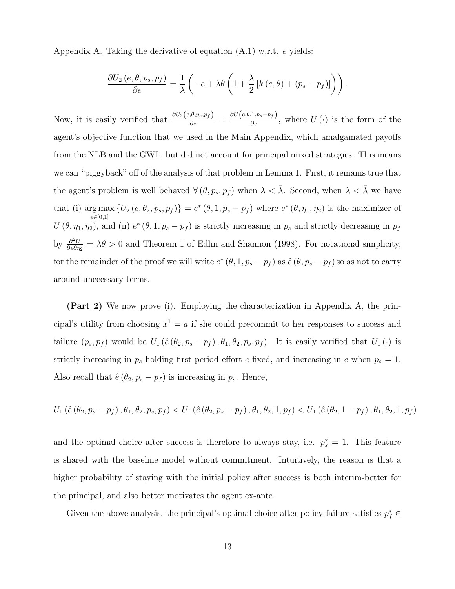Appendix A. Taking the derivative of equation (A.1) w.r.t. *e* yields:

$$
\frac{\partial U_2(e, \theta, p_s, p_f)}{\partial e} = \frac{1}{\lambda} \left( -e + \lambda \theta \left( 1 + \frac{\lambda}{2} \left[ k(e, \theta) + (p_s - p_f) \right] \right) \right).
$$

Now, it is easily verified that  $\frac{\partial U_2(e, \theta, p_s, p_f)}{\partial e} = \frac{\partial U(e, \theta, 1, p_s - p_f)}{\partial e}$ , where  $U(\cdot)$  is the form of the agent's objective function that we used in the Main Appendix, which amalgamated payoffs from the NLB and the GWL, but did not account for principal mixed strategies. This means we can "piggyback" off of the analysis of that problem in Lemma 1. First, it remains true that the agent's problem is well behaved  $\forall (\theta, p_s, p_f)$  when  $\lambda < \overline{\lambda}$ . Second, when  $\lambda < \overline{\lambda}$  we have that (i) arg max  $e \in [0,1]$  ${U_2 (e, \theta_2, p_s, p_f)} = e^*(\theta, 1, p_s - p_f)$  where  $e^*(\theta, \eta_1, \eta_2)$  is the maximizer of  $U(\theta, \eta_1, \eta_2)$ , and (ii)  $e^*(\theta, 1, p_s - p_f)$  is strictly increasing in  $p_s$  and strictly decreasing in  $p_f$ by  $\frac{\partial^2 U}{\partial e \partial \eta_2} = \lambda \theta > 0$  and Theorem 1 of Edlin and Shannon (1998). For notational simplicity, for the remainder of the proof we will write  $e^*(\theta, 1, p_s - p_f)$  as  $\hat{e}(\theta, p_s - p_f)$  so as not to carry around unecessary terms.

(Part 2) We now prove (i). Employing the characterization in Appendix A, the principal's utility from choosing  $x^1 = a$  if she could precommit to her responses to success and failure  $(p_s, p_f)$  would be  $U_1(\hat{e}(\theta_2, p_s - p_f), \theta_1, \theta_2, p_s, p_f)$ . It is easily verified that  $U_1(\cdot)$  is strictly increasing in  $p_s$  holding first period effort *e* fixed, and increasing in *e* when  $p_s = 1$ . Also recall that  $\hat{e}$  ( $\theta_2$ ,  $p_s - p_f$ ) is increasing in  $p_s$ . Hence,

$$
U_1\left(\hat{e}\left(\theta_2, p_s - p_f\right), \theta_1, \theta_2, p_s, p_f\right) < U_1\left(\hat{e}\left(\theta_2, p_s - p_f\right), \theta_1, \theta_2, 1, p_f\right) < U_1\left(\hat{e}\left(\theta_2, 1 - p_f\right), \theta_1, \theta_2, 1, p_f\right)
$$

and the optimal choice after success is therefore to always stay, i.e.  $p_s^* = 1$ . This feature is shared with the baseline model without commitment. Intuitively, the reason is that a higher probability of staying with the initial policy after success is both interim-better for the principal, and also better motivates the agent ex-ante.

Given the above analysis, the principal's optimal choice after policy failure satisfies  $p_f^* \in$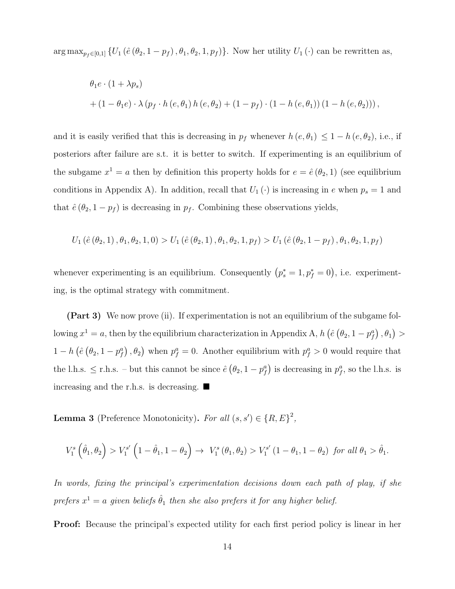arg max<sub> $p_f \in [0,1]$ </sub>  $\{U_1 (\hat{e} (\theta_2, 1 - p_f), \theta_1, \theta_2, 1, p_f)\}$ . Now her utility  $U_1 (\cdot)$  can be rewritten as,

$$
\theta_1 e \cdot (1 + \lambda p_s)
$$
  
+ 
$$
(1 - \theta_1 e) \cdot \lambda (p_f \cdot h (e, \theta_1) h (e, \theta_2) + (1 - p_f) \cdot (1 - h (e, \theta_1)) (1 - h (e, \theta_2))),
$$

and it is easily verified that this is decreasing in  $p_f$  whenever  $h(e, \theta_1) \leq 1 - h(e, \theta_2)$ , i.e., if posteriors after failure are s.t. it is better to switch. If experimenting is an equilibrium of the subgame  $x^1 = a$  then by definition this property holds for  $e = \hat{e}(\theta_2, 1)$  (see equilibrium conditions in Appendix A). In addition, recall that  $U_1(\cdot)$  is increasing in *e* when  $p_s = 1$  and that  $\hat{e}$  ( $\theta_2$ , 1 –  $p_f$ ) is decreasing in  $p_f$ . Combining these observations yields,

$$
U_1 (\hat{e} (\theta_2, 1), \theta_1, \theta_2, 1, 0) > U_1 (\hat{e} (\theta_2, 1), \theta_1, \theta_2, 1, p_f) > U_1 (\hat{e} (\theta_2, 1 - p_f), \theta_1, \theta_2, 1, p_f)
$$

whenever experimenting is an equilibrium. Consequently  $(p_s^* = 1, p_f^* = 0)$ , i.e. experimenting, is the optimal strategy with commitment.

(Part 3) We now prove (ii). If experimentation is not an equilibrium of the subgame fol- $\sigma$  lowing  $x^1 = a$ , then by the equilibrium characterization in Appendix A,  $h\left(\hat{e}\left(\theta_2, 1 - p_f^a\right), \theta_1\right) >$  $1 - h\left(\hat{e}\left(\theta_2, 1 - p_f^a\right), \theta_2\right)$  when  $p_f^a = 0$ . Another equilibrium with  $p_f^a > 0$  would require that the l.h.s.  $\leq$  r.h.s. – but this cannot be since  $\hat{e}$   $(\theta_2, 1 - p_f^a)$  is decreasing in  $p_f^a$ , so the l.h.s. is increasing and the r.h.s. is decreasing.  $\blacksquare$ 

**Lemma 3** (Preference Monotonicity). *For all*  $(s, s') \in \{R, E\}^2$ ,

$$
V_1^s \left( \hat{\theta}_1, \theta_2 \right) > V_1^{s'} \left( 1 - \hat{\theta}_1, 1 - \theta_2 \right) \to V_1^s \left( \theta_1, \theta_2 \right) > V_1^{s'} \left( 1 - \theta_1, 1 - \theta_2 \right) \text{ for all } \theta_1 > \hat{\theta}_1.
$$

*In words, fixing the principal's experimentation decisions down each path of play, if she prefers*  $x^1 = a$  *given beliefs*  $\hat{\theta}_1$  *then she also prefers it for any higher belief.* 

Proof: Because the principal's expected utility for each first period policy is linear in her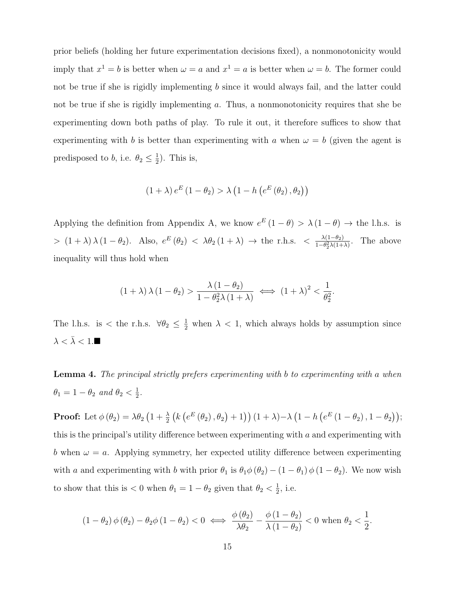prior beliefs (holding her future experimentation decisions fixed), a nonmonotonicity would imply that  $x^1 = b$  is better when  $\omega = a$  and  $x^1 = a$  is better when  $\omega = b$ . The former could not be true if she is rigidly implementing *b* since it would always fail, and the latter could not be true if she is rigidly implementing *a*. Thus, a nonmonotonicity requires that she be experimenting down both paths of play. To rule it out, it therefore suffices to show that experimenting with *b* is better than experimenting with *a* when  $\omega = b$  (given the agent is predisposed to *b*, i.e.  $\theta_2 \leq \frac{1}{2}$ ). This is,

$$
(1 + \lambda) e^{E} (1 - \theta_2) > \lambda \left(1 - h\left(e^{E} (\theta_2), \theta_2\right)\right)
$$

Applying the definition from Appendix A, we know  $e^{E} (1 - \theta) > \lambda (1 - \theta) \rightarrow$  the l.h.s. is  $> (1 + \lambda) \lambda (1 - \theta_2)$ . Also,  $e^E(\theta_2) < \lambda \theta_2 (1 + \lambda) \rightarrow$  the r.h.s.  $< \frac{\lambda (1 - \theta_2)}{1 - \theta_2^2 \lambda (1 + \lambda)}$ . The above inequality will thus hold when

$$
(1+\lambda)\lambda(1-\theta_2) > \frac{\lambda(1-\theta_2)}{1-\theta_2^2\lambda(1+\lambda)} \iff (1+\lambda)^2 < \frac{1}{\theta_2^2}.
$$

The l.h.s. is  $\lt$  the r.h.s.  $\forall \theta_2 \leq \frac{1}{2}$  when  $\lambda \lt 1$ , which always holds by assumption since  $\lambda < \bar{\lambda} < 1.$ <br> $\blacksquare$ 

Lemma 4. *The principal strictly prefers experimenting with b to experimenting with a when*  $\theta_1 = 1 - \theta_2 \text{ and } \theta_2 < \frac{1}{2}.$ 

**Proof:** Let  $\phi(\theta_2) = \lambda \theta_2 (1 + \frac{\lambda}{2} (k (e^{E}(\theta_2), \theta_2) + 1)) (1 + \lambda) - \lambda (1 - h (e^{E} (1 - \theta_2), 1 - \theta_2));$ this is the principal's utility difference between experimenting with  $a$  and experimenting with *b* when  $\omega = a$ . Applying symmetry, her expected utility difference between experimenting with *a* and experimenting with *b* with prior  $\theta_1$  is  $\theta_1 \phi(\theta_2) - (1 - \theta_1) \phi(1 - \theta_2)$ . We now wish to show that this is  $< 0$  when  $\theta_1 = 1 - \theta_2$  given that  $\theta_2 < \frac{1}{2}$ , i.e.

$$
(1 - \theta_2) \phi(\theta_2) - \theta_2 \phi(1 - \theta_2) < 0 \iff \frac{\phi(\theta_2)}{\lambda \theta_2} - \frac{\phi(1 - \theta_2)}{\lambda(1 - \theta_2)} < 0 \text{ when } \theta_2 < \frac{1}{2}.
$$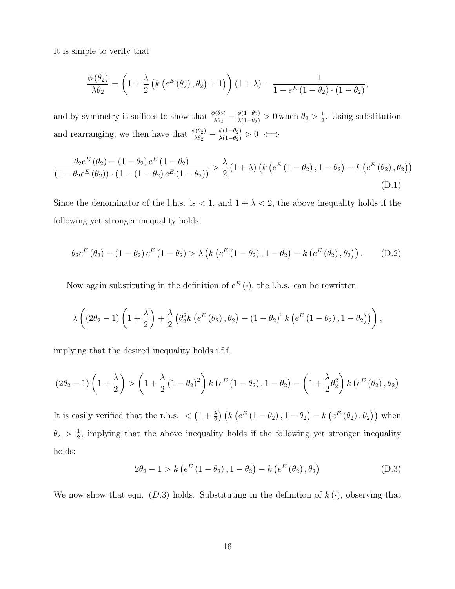It is simple to verify that

$$
\frac{\phi(\theta_2)}{\lambda\theta_2} = \left(1 + \frac{\lambda}{2} \left(k \left(e^{E}(\theta_2), \theta_2\right) + 1\right)\right) \left(1 + \lambda\right) - \frac{1}{1 - e^{E} \left(1 - \theta_2\right) \cdot \left(1 - \theta_2\right)},
$$

and by symmetry it suffices to show that  $\frac{\phi(\theta_2)}{\lambda \theta_2} - \frac{\phi(1-\theta_2)}{\lambda(1-\theta_2)} > 0$  when  $\theta_2 > \frac{1}{2}$ . Using substitution and rearranging, we then have that  $\frac{\phi(\theta_2)}{\lambda \theta_2} - \frac{\phi(1-\theta_2)}{\lambda(1-\theta_2)} > 0 \iff$ 

$$
\frac{\theta_2 e^E(\theta_2) - (1 - \theta_2) e^E(1 - \theta_2)}{(1 - \theta_2 e^E(\theta_2)) \cdot (1 - (1 - \theta_2) e^E(1 - \theta_2))} > \frac{\lambda}{2} (1 + \lambda) \left( k \left( e^E(1 - \theta_2), 1 - \theta_2 \right) - k \left( e^E(\theta_2), \theta_2 \right) \right)
$$
\n(D.1)

Since the denominator of the l.h.s. is  $< 1$ , and  $1 + \lambda < 2$ , the above inequality holds if the following yet stronger inequality holds,

$$
\theta_2 e^{E} (\theta_2) - (1 - \theta_2) e^{E} (1 - \theta_2) > \lambda \left( k \left( e^{E} (1 - \theta_2), 1 - \theta_2 \right) - k \left( e^{E} (\theta_2), \theta_2 \right) \right). \tag{D.2}
$$

Now again substituting in the definition of  $e^E(\cdot)$ , the l.h.s. can be rewritten

$$
\lambda \left( \left(2\theta_2 - 1\right) \left(1 + \frac{\lambda}{2}\right) + \frac{\lambda}{2} \left(\theta_2^2 k \left(e^{E} \left(\theta_2\right), \theta_2\right) - \left(1 - \theta_2\right)^2 k \left(e^{E} \left(1 - \theta_2\right), 1 - \theta_2\right)\right)\right),
$$

implying that the desired inequality holds i.f.f.

$$
(2\theta_2 - 1)\left(1 + \frac{\lambda}{2}\right) > \left(1 + \frac{\lambda}{2}\left(1 - \theta_2\right)^2\right)k\left(e^E\left(1 - \theta_2\right), 1 - \theta_2\right) - \left(1 + \frac{\lambda}{2}\theta_2^2\right)k\left(e^E\left(\theta_2\right), \theta_2\right)
$$

It is easily verified that the r.h.s.  $\langle (1 + \frac{\lambda}{2}) (k (e^{E} (1 - \theta_2), 1 - \theta_2) - k (e^{E} (\theta_2), \theta_2))$  when  $\theta_2 > \frac{1}{2}$ , implying that the above inequality holds if the following yet stronger inequality holds:

$$
2\theta_2 - 1 > k \left( e^E \left( 1 - \theta_2 \right), 1 - \theta_2 \right) - k \left( e^E \left( \theta_2 \right), \theta_2 \right) \tag{D.3}
$$

We now show that eqn. (*D.3*) holds. Substituting in the definition of  $k(\cdot)$ , observing that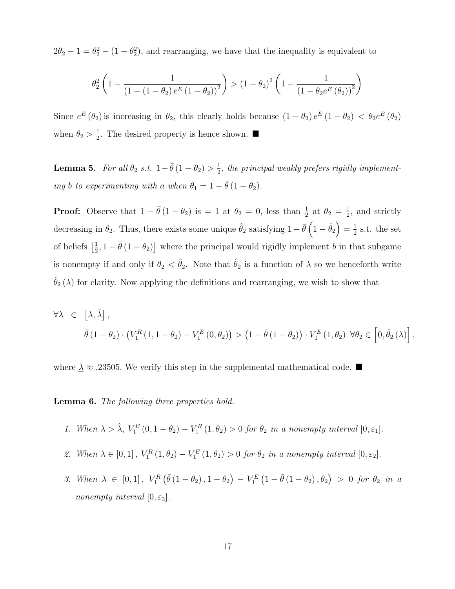$2\theta_2 - 1 = \theta_2^2 - (1 - \theta_2^2)$ , and rearranging, we have that the inequality is equivalent to

$$
\theta_2^2 \left( 1 - \frac{1}{\left( 1 - (1 - \theta_2) e^E (1 - \theta_2) \right)^2} \right) > \left( 1 - \theta_2 \right)^2 \left( 1 - \frac{1}{\left( 1 - \theta_2 e^E (\theta_2) \right)^2} \right)
$$

Since  $e^{E}(\theta_2)$  is increasing in  $\theta_2$ , this clearly holds because  $(1 - \theta_2) e^{E}(1 - \theta_2) < \theta_2 e^{E}(\theta_2)$ when  $\theta_2 > \frac{1}{2}$ . The desired property is hence shown.

**Lemma 5.** For all  $\theta_2$  *s.t.*  $1 - \bar{\theta} (1 - \theta_2) > \frac{1}{2}$ , the principal weakly prefers rigidly implement*ing b to experimenting with a when*  $\theta_1 = 1 - \overline{\theta}(1 - \theta_2)$ *.* 

**Proof:** Observe that  $1 - \bar{\theta}(1 - \theta_2)$  is = 1 at  $\theta_2 = 0$ , less than  $\frac{1}{2}$  at  $\theta_2 = \frac{1}{2}$ , and strictly decreasing in  $\theta_2$ . Thus, there exists some unique  $\hat{\theta}_2$  satisfying  $1 - \bar{\theta} \left(1 - \hat{\theta}_2\right) = \frac{1}{2}$  s.t. the set of beliefs  $\left[\frac{1}{2}, 1 - \bar{\theta}(1 - \theta_2)\right]$  where the principal would rigidly implement *b* in that subgame is nonempty if and only if  $\theta_2 < \hat{\theta}_2$ . Note that  $\hat{\theta}_2$  is a function of  $\lambda$  so we henceforth write  $\hat{\theta}_2(\lambda)$  for clarity. Now applying the definitions and rearranging, we wish to show that

$$
\forall \lambda \in [\underline{\lambda}, \overline{\lambda}],
$$
  
\n
$$
\overline{\theta}(1 - \theta_2) \cdot (V_1^R(1, 1 - \theta_2) - V_1^E(0, \theta_2)) > (1 - \overline{\theta}(1 - \theta_2)) \cdot V_1^E(1, \theta_2) \ \forall \theta_2 \in [0, \hat{\theta}_2(\lambda)],
$$

where  ${\underline{\smash \lambda}}\approx .23505.$  We verify this step in the supplemental mathematical code.  $\blacksquare$ 

Lemma 6. *The following three properties hold.*

- *1. When*  $\lambda > \hat{\lambda}$ ,  $V_1^E(0, 1 \theta_2) V_1^R(1, \theta_2) > 0$  *for*  $\theta_2$  *in a nonempty interval*  $[0, \varepsilon_1]$ *.*
- 2. When  $\lambda \in [0, 1]$ ,  $V_1^R(1, \theta_2) V_1^E(1, \theta_2) > 0$  for  $\theta_2$  in a nonempty interval  $[0, \varepsilon_2]$ .
- 3. When  $\lambda \in [0,1]$ ,  $V_1^R(\bar{\theta}(1-\theta_2), 1-\theta_2) V_1^E(1-\bar{\theta}(1-\theta_2), \theta_2) > 0$  for  $\theta_2$  *in a nonempty interval*  $[0, \varepsilon_3]$ *.*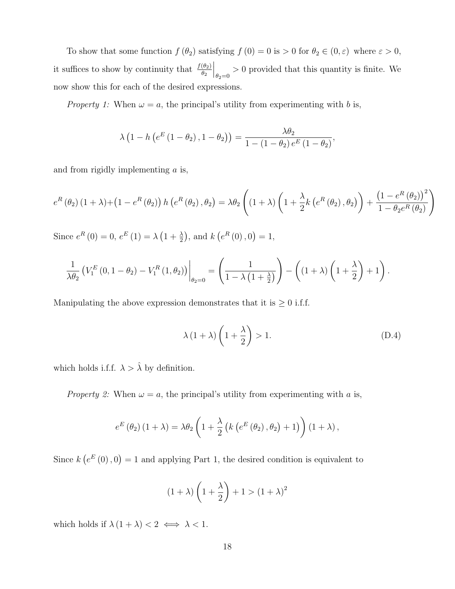To show that some function  $f(\theta_2)$  satisfying  $f(0) = 0$  is  $> 0$  for  $\theta_2 \in (0, \varepsilon)$  where  $\varepsilon > 0$ , it suffices to show by continuity that  $\frac{f(\theta_2)}{\theta_2}$  $\Big|_{\theta_2=0}$  > 0 provided that this quantity is finite. We now show this for each of the desired expressions.

*Property 1:* When  $\omega = a$ , the principal's utility from experimenting with *b* is,

$$
\lambda\left(1-h\left(e^{E}\left(1-\theta_{2}\right),1-\theta_{2}\right)\right)=\frac{\lambda\theta_{2}}{1-\left(1-\theta_{2}\right)e^{E}\left(1-\theta_{2}\right)},
$$

and from rigidly implementing *a* is,

$$
e^{R}(\theta_2)(1+\lambda) + (1 - e^{R}(\theta_2)) h(e^{R}(\theta_2), \theta_2) = \lambda \theta_2 \left( (1+\lambda) \left( 1 + \frac{\lambda}{2} k \left( e^{R}(\theta_2), \theta_2 \right) \right) + \frac{\left( 1 - e^{R}(\theta_2) \right)^2}{1 - \theta_2 e^{R}(\theta_2)} \right)
$$

Since  $e^{R}(0) = 0$ ,  $e^{E}(1) = \lambda(1 + \frac{\lambda}{2})$ , and  $k(e^{R}(0), 0) = 1$ ,

$$
\frac{1}{\lambda \theta_2} \left( V_1^E \left(0, 1 - \theta_2\right) - V_1^R \left(1, \theta_2\right) \right) \Big|_{\theta_2 = 0} = \left( \frac{1}{1 - \lambda \left(1 + \frac{\lambda}{2}\right)} \right) - \left( \left(1 + \lambda\right) \left(1 + \frac{\lambda}{2}\right) + 1 \right).
$$

Manipulating the above expression demonstrates that it is  $\geq 0$  i.f.f.

$$
\lambda (1 + \lambda) \left( 1 + \frac{\lambda}{2} \right) > 1. \tag{D.4}
$$

which holds i.f.f.  $\lambda > \hat{\lambda}$  by definition.

*Property 2:* When  $\omega = a$ , the principal's utility from experimenting with *a* is,

$$
e^{E}(\theta_2) (1 + \lambda) = \lambda \theta_2 \left( 1 + \frac{\lambda}{2} \left( k \left( e^{E}(\theta_2), \theta_2 \right) + 1 \right) \right) (1 + \lambda),
$$

Since  $k(e^E(0), 0) = 1$  and applying Part 1, the desired condition is equivalent to

$$
(1+\lambda)\left(1+\frac{\lambda}{2}\right)+1>(1+\lambda)^2
$$

which holds if  $\lambda (1 + \lambda) < 2 \iff \lambda < 1$ .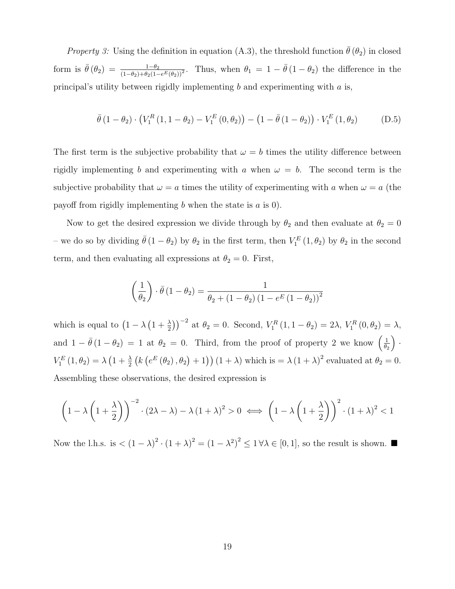*Property 3:* Using the definition in equation (A.3), the threshold function  $\bar{\theta}(\theta_2)$  in closed form is  $\bar{\theta}(\theta_2) = \frac{1-\theta_2}{(1-\theta_2)+\theta_2(1-e^{E}(\theta_2))^2}$ . Thus, when  $\theta_1 = 1 - \bar{\theta}(1-\theta_2)$  the difference in the principal's utility between rigidly implementing *b* and experimenting with *a* is,

$$
\bar{\theta} (1 - \theta_2) \cdot (V_1^R (1, 1 - \theta_2) - V_1^E (0, \theta_2)) - (1 - \bar{\theta} (1 - \theta_2)) \cdot V_1^E (1, \theta_2)
$$
 (D.5)

The first term is the subjective probability that  $\omega = b$  times the utility difference between rigidly implementing *b* and experimenting with *a* when  $\omega = b$ . The second term is the subjective probability that  $\omega = a$  times the utility of experimenting with *a* when  $\omega = a$  (the payoff from rigidly implementing  $b$  when the state is  $a$  is 0).

Now to get the desired expression we divide through by  $\theta_2$  and then evaluate at  $\theta_2 = 0$ – we do so by dividing  $\bar{\theta}(1-\theta_2)$  by  $\theta_2$  in the first term, then  $V_1^E(1,\theta_2)$  by  $\theta_2$  in the second term, and then evaluating all expressions at  $\theta_2 = 0$ . First,

$$
\left(\frac{1}{\theta_2}\right) \cdot \bar{\theta} \left(1 - \theta_2\right) = \frac{1}{\theta_2 + \left(1 - \theta_2\right) \left(1 - e^E \left(1 - \theta_2\right)\right)^2}
$$

which is equal to  $(1 - \lambda (1 + \frac{\lambda}{2}))^{-2}$  at  $\theta_2 = 0$ . Second,  $V_1^R(1, 1 - \theta_2) = 2\lambda$ ,  $V_1^R(0, \theta_2) = \lambda$ , and  $1 - \bar{\theta}(1 - \theta_2) = 1$  at  $\theta_2 = 0$ . Third, from the proof of property 2 we know  $\left(\frac{1}{\theta_2}\right)$  $\setminus$ *·*  $V_1^E(1, \theta_2) = \lambda \left(1 + \frac{\lambda}{2} \left( k \left( e^{E}(\theta_2), \theta_2 \right) + 1 \right) \right) (1 + \lambda)$  which is  $= \lambda (1 + \lambda)^2$  evaluated at  $\theta_2 = 0$ . Assembling these observations, the desired expression is

$$
\left(1 - \lambda \left(1 + \frac{\lambda}{2}\right)\right)^{-2} \cdot (2\lambda - \lambda) - \lambda \left(1 + \lambda\right)^2 > 0 \iff \left(1 - \lambda \left(1 + \frac{\lambda}{2}\right)\right)^2 \cdot \left(1 + \lambda\right)^2 < 1
$$

Now the l.h.s. is  $\langle (1 - \lambda)^2 \cdot (1 + \lambda)^2 \rangle = (1 - \lambda^2)^2 \leq 1 \forall \lambda \in [0, 1],$  so the result is shown.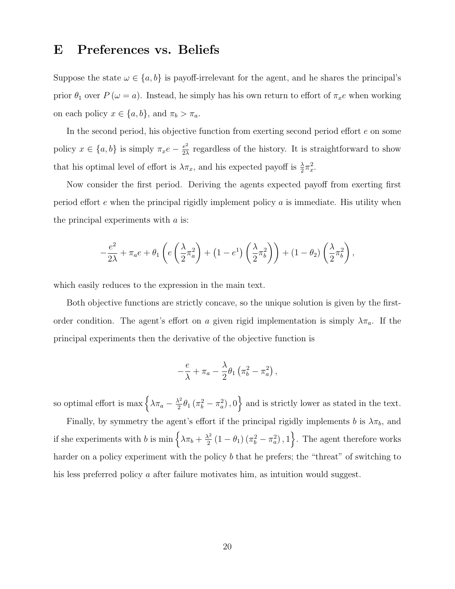#### E Preferences vs. Beliefs

Suppose the state  $\omega \in \{a, b\}$  is payoff-irrelevant for the agent, and he shares the principal's prior  $\theta_1$  over  $P(\omega = a)$ . Instead, he simply has his own return to effort of  $\pi_x e$  when working on each policy  $x \in \{a, b\}$ , and  $\pi_b > \pi_a$ .

In the second period, his objective function from exerting second period effort *e* on some policy  $x \in \{a, b\}$  is simply  $\pi_x e - \frac{e^2}{2\lambda}$  regardless of the history. It is straightforward to show that his optimal level of effort is  $\lambda \pi_x$ , and his expected payoff is  $\frac{\lambda}{2} \pi_x^2$ .

Now consider the first period. Deriving the agents expected payoff from exerting first period effort *e* when the principal rigidly implement policy *a* is immediate. His utility when the principal experiments with *a* is:

$$
-\frac{e^2}{2\lambda} + \pi_a e + \theta_1 \left( e \left( \frac{\lambda}{2} \pi_a^2 \right) + \left( 1 - e^1 \right) \left( \frac{\lambda}{2} \pi_b^2 \right) \right) + \left( 1 - \theta_2 \right) \left( \frac{\lambda}{2} \pi_b^2 \right),
$$

which easily reduces to the expression in the main text.

Both objective functions are strictly concave, so the unique solution is given by the firstorder condition. The agent's effort on *a* given rigid implementation is simply  $\lambda \pi_a$ . If the principal experiments then the derivative of the objective function is

$$
-\frac{e}{\lambda} + \pi_a - \frac{\lambda}{2} \theta_1 \left( \pi_b^2 - \pi_a^2 \right),
$$

so optimal effort is max  $\left\{\lambda \pi_a - \frac{\lambda^2}{2} \theta_1 \left(\pi_b^2 - \pi_a^2\right), 0\right\}$  and is strictly lower as stated in the text.

Finally, by symmetry the agent's effort if the principal rigidly implements *b* is  $\lambda \pi_b$ , and if she experiments with *b* is  $\min \left\{ \lambda \pi_b + \frac{\lambda^2}{2} (1 - \theta_1) (\pi_b^2 - \pi_a^2), 1 \right\}$ . The agent therefore works harder on a policy experiment with the policy *b* that he prefers; the "threat" of switching to his less preferred policy *a* after failure motivates him, as intuition would suggest.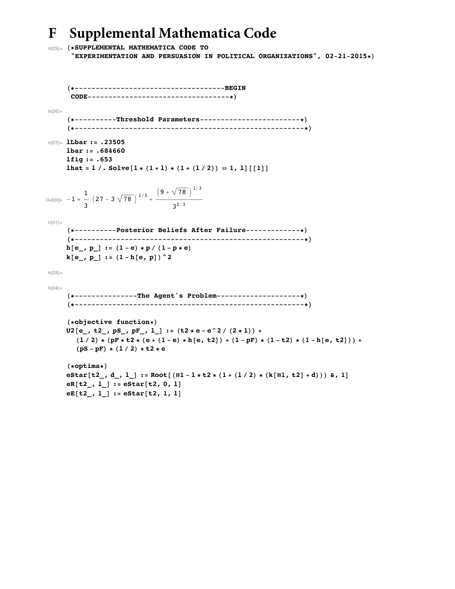## **F Supplemental Mathematica Code**

```
In[25]:= H*SUPPLEMENTAL MATHEMATICA CODE TO
       "EXPERIMENTATION AND PERSUASION IN POLITICAL ORGANIZATIONS", 02-21-2015*L
     H*------------------------------------BEGIN
      CODE----------------------------------*L
ln[26]:=
     H*----------Threshold Parameters------------------------*L
     H*-------------------------------------------------------*L
In[27]:= lLbar := .23505
     lbar := .684660
     lfig := .653
     lhat = 1 /. Solve [1 \star (1 + 1) \star (1 + (1 / 2)) = 1, 1] [[1]]Out[30]= -1 + -\frac{1}{3} \left(27 - 3\sqrt{78}\right)^{1/3} + \frac{\left(9 + \sqrt{78}\right)^{1/3}}{3^{2/3}}3^{2/3}In [31] :=H*----------Posterior Beliefs After Failure-------------*L
     H*-------------------------------------------------------*L
     h[e_, p_] := (1-e) * p / (1-p * e)k[e_1, p_2] := (1 - h[e, p]) ^2
In [33]:=
In[34]:=
     H*---------------The Agent's Problem--------------------*L
     H*-------------------------------------------------------*L
     (*<b>objective</b> function*)U2[e_1, t2_1, pS_1, pF_1, l_1]:=(t2*e-e^2/(2*1))+t2(1/2) * (pF * t2 * (e + (1-e) * h[e, t2]) + (1 - pF) * (1 - t2) * (1 - h[e, t2])) +(\text{pS - pF}) * (1 / 2) * t2 * eH*optima*L
     estar[t2, d, l] := Root[(\#1 - l * t2 * (1 + (l / 2) * (k[\#1, t2] + d))) & 1]eR[t2, 1] := eStar[t2, 0, 1]eE[t2, 1] := eStar[t2, 1, 1]
```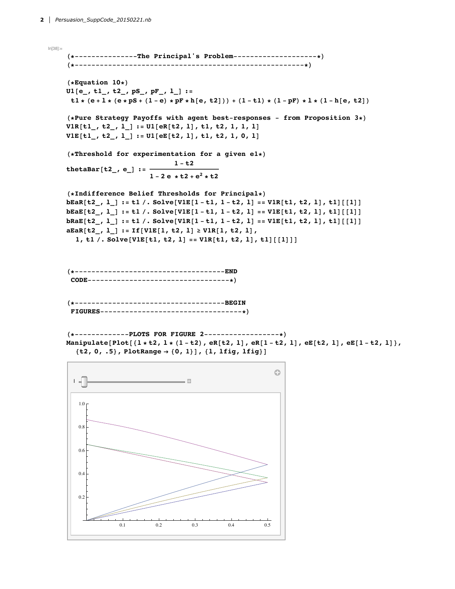In[38]:= **H\*---------------The Principal's Problem--------------------\*L H\*-------------------------------------------------------\*L**  $(*$ **Equation**  $10*)$ **U1@e\_, t1\_, t2\_, pS\_, pF\_, l\_D :=**  $t1 * (e + 1 * (e * pS + (1 - e) * pF * h[e, t2])) + (1 - t1) * (1 - pF) * l * (1 - h[e, t2]))$ **H\*Pure Strategy Payoffs with agent best-responses - from Proposition 3\*L V1R@t1\_, t2\_, l\_D := U1@eR@t2, lD, t1, t2, 1, 1, lD V1E@t1\_, t2\_, l\_D := U1@eE@t2, lD, t1, t2, 1, 0, lD H\*Threshold for experimentation for a given e1\*L**  $t$ **hetaBar**<sup>[t2</sup>*\_,* **e**\_] :=  $\frac{1-t2}{t}$  $1 - 2e + t^2 + e^2 + t^2$ **H\*Indifference Belief Thresholds for Principal\*L**  $bEaR[t2_, 1$ ] := t1 /. Solve[V1E[1-t1, 1-t2, 1] == V1R[t1, t2, 1], t1][[1]]  $bEAE[t2_, 1] := t1 /. Solve[V1E[1-t1, 1-t2, 1] == V1E[t1, t2, 1], t1][[1]]$  $bRaE[t2_, l_]: = t1 /. Solve[V1R[1-t1, 1-t2, 1] == V1E[t1, t2, 1], t1][[1]]$  $a\text{EaR}[t2, 1]$  :=  $If[V1E[1, t2, 1] \geq V1R[1, t2, 1],$ 1, t1 /. Solve[V1E[t1, t2, 1] == V1R[t1, t2, 1], t1] [[1]]] **H\*------------------------------------END CODE----------------------------------\*L H\*------------------------------------BEGIN FIGURES----------------------------------\*L H\*-------------PLOTS FOR FIGURE 2------------------\*L** Manipulate[Plot[{ $l * t2$ ,  $l * (1 - t2)$ , eR[t2, 1], eR[1-t2, 1], eE[t2, 1], eE[1-t2, 1]},  ${t2, 0, .5}$ , PlotRange  $\rightarrow$   ${0, 1}$ ,  ${1, 1$ ig,  ${1}$ ig,  ${1}$ ig}

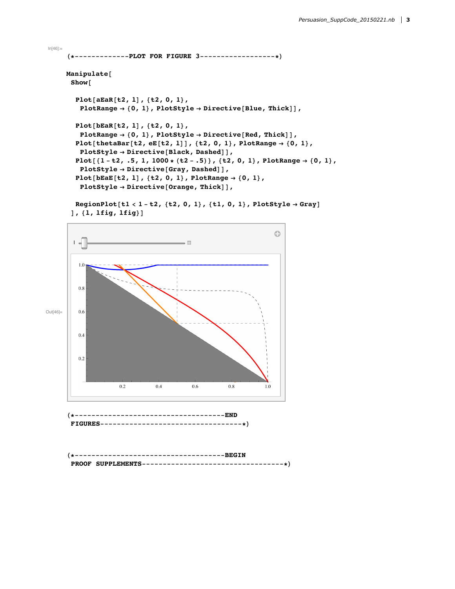```
In[46]:=
      H*-------------PLOT FOR FIGURE 3------------------*L
     Manipulate@
       Show@
         Plot@aEaR@t2, lD, 8t2, 0, 1<,
          PlotRange \rightarrow {0, 1}, PlotStyle \rightarrow Directive[Blue, Thick]],
        Plot@bEaR@t2, lD, 8t2, 0, 1<,
          PlotRange \rightarrow {0, 1}, PlotStyle \rightarrow Directive[Red, Thick]],
        Plot[thetaBar[t2, eE[t2, 1]], {t2, 0, 1}, PlotRange \rightarrow {0, 1},PlotStyle \rightarrow Directive[Black, Dashed]],Plot[\{1-t2, .5, 1, 1000 \star (t2-.5)\}, \{t2, 0, 1\}, PlotRange \rightarrow \{0, 1\},PlotStyle \rightarrow Directive[Gray, Dashed],
         Plot[<b>bEaE</b>[<b>t2</b>, 1], {<b>t2</b>, 0, 1}, <b>PlotRange</b> <math>\rightarrow</math> {0, 1},PlotStyle \rightarrow Directive[Orange, Thick]],
```
RegionPlot[t1 < 1 - t2, {t2, 0, 1}, {t1, 0, 1}, PlotStyle  $\rightarrow$  Gray]  $], \{1, 1$ **fig**,  $1$ **fig** $}\]$ 



```
H*------------------------------------BEGIN
PROOF SUPPLEMENTS----------------------------------*L
```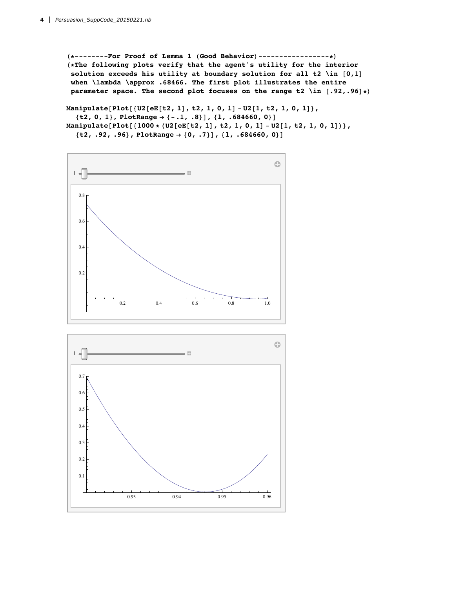**H\*--------For Proof of Lemma 1 HGood BehaviorL-----------------\*L H\*The following plots verify that the agent's utility for the interior solution exceeds his utility at boundary solution for all t2 \in @0,1D when \lambda \approx .68466. The first plot illustrates the entire parameter space.** The second plot focuses on the range  $t2 \in \lceil 0.92, .96 \rceil * \rceil$ 

Manipulate[Plot[{U2[eE[t2, 1], t2, 1, 0, 1] - U2[1, t2, 1, 0, 1]},  ${t2, 0, 1}$ , PlotRange  $\rightarrow$   ${-.1, .8}$ ],  ${1, .684660, 0}$ Manipulate[Plot[{ $1000 * (U2[eE[t2, 1], t2, 1, 0, 1] - U2[1, t2, 1, 0, 1])$ }, **8t2, .92, .96<, PlotRange Ø 80, .7<D, 8l, .684660, 0<D**



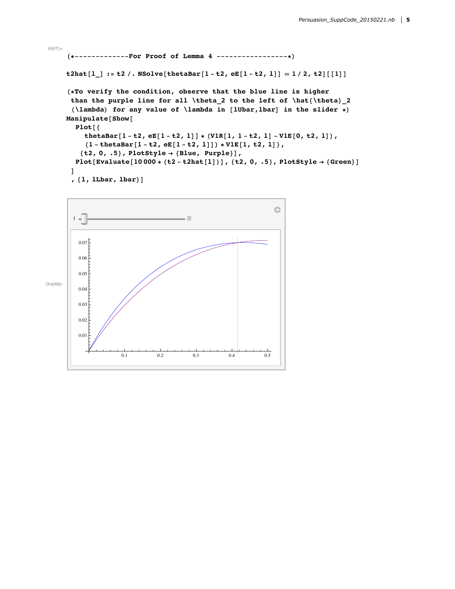```
H*-------------For Proof of Lemma 4 -----------------*L
t2hat [1] := t2 /. NSolve [thetaBar [1 - t2, eE[1 - t2, 1]] = 1 / 2, t2] [[1]]H*To verify the condition, observe that the blue line is higher
 than the purple line for all \theta_2 to the left of \hat8\theta<_2
 \lambda (lambda for any value of lambda in [lUbar,lbar] in the slider *
Manipulate[Show[Plot[thetaBar[1-t2, eE[1-t2, 1]] * (V1R[1, 1-t2, 1] - V1E[0, t2, 1]),
     (1 - \text{thetaBar}[1 - t2, \text{eE}[1 - t2, 1]]) * \text{V1E}[1, t2, 1]),{t2, 0, .5}, PlotStyle \rightarrow {Blue,~purple}Plot[Evaluate[10000 * (t2 - t2hat[1])], {t2, 0, .5}, PlotStyle \rightarrow {Green}]
 D
 , \{1, 1Lbar, \{1 \times 1\}
```


 $ln[47]$ :=